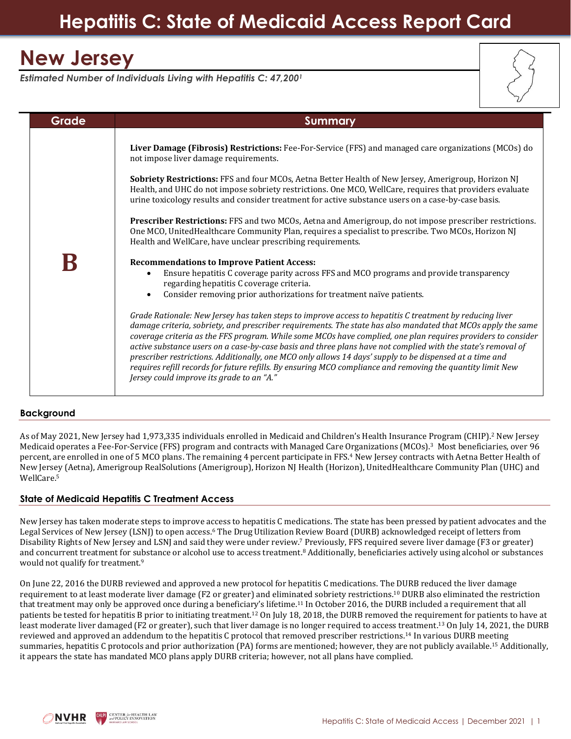## **Hepatitis C: State of Medicaid Access Report Card**

# **New Jersey**

*Estimated Number of Individuals Living with Hepatitis C: 47,200<sup>1</sup>*

| Grade | Summary                                                                                                                                                                                                                                                                                                                                                                                                                                                                                                                                                                                                                                                                                                                         |
|-------|---------------------------------------------------------------------------------------------------------------------------------------------------------------------------------------------------------------------------------------------------------------------------------------------------------------------------------------------------------------------------------------------------------------------------------------------------------------------------------------------------------------------------------------------------------------------------------------------------------------------------------------------------------------------------------------------------------------------------------|
|       | Liver Damage (Fibrosis) Restrictions: Fee-For-Service (FFS) and managed care organizations (MCOs) do<br>not impose liver damage requirements.                                                                                                                                                                                                                                                                                                                                                                                                                                                                                                                                                                                   |
|       | <b>Sobriety Restrictions:</b> FFS and four MCOs, Aetna Better Health of New Jersey, Amerigroup, Horizon NJ<br>Health, and UHC do not impose sobriety restrictions. One MCO, WellCare, requires that providers evaluate<br>urine toxicology results and consider treatment for active substance users on a case-by-case basis.                                                                                                                                                                                                                                                                                                                                                                                                   |
|       | Prescriber Restrictions: FFS and two MCOs, Aetna and Amerigroup, do not impose prescriber restrictions.<br>One MCO, UnitedHealthcare Community Plan, requires a specialist to prescribe. Two MCOs, Horizon NJ<br>Health and WellCare, have unclear prescribing requirements.                                                                                                                                                                                                                                                                                                                                                                                                                                                    |
|       | <b>Recommendations to Improve Patient Access:</b><br>Ensure hepatitis C coverage parity across FFS and MCO programs and provide transparency<br>$\bullet$<br>regarding hepatitis C coverage criteria.<br>Consider removing prior authorizations for treatment naïve patients.<br>$\bullet$                                                                                                                                                                                                                                                                                                                                                                                                                                      |
|       | Grade Rationale: New Jersey has taken steps to improve access to hepatitis C treatment by reducing liver<br>damage criteria, sobriety, and prescriber requirements. The state has also mandated that MCOs apply the same<br>coverage criteria as the FFS program. While some MCOs have complied, one plan requires providers to consider<br>active substance users on a case-by-case basis and three plans have not complied with the state's removal of<br>prescriber restrictions. Additionally, one MCO only allows 14 days' supply to be dispensed at a time and<br>requires refill records for future refills. By ensuring MCO compliance and removing the quantity limit New<br>Jersey could improve its grade to an "A." |

### **Background**

As of May 2021, New Jersey had 1,973,335 individuals enrolled in Medicaid and Children's Health Insurance Program (CHIP).<sup>2</sup> New Jersey Medicaid operates a Fee-For-Service (FFS) program and contracts with Managed Care Organizations (MCOs).<sup>3</sup> Most beneficiaries, over 96 percent, are enrolled in one of 5 MCO plans. The remaining 4 percent participate in FFS.<sup>4</sup> New Jersey contracts with Aetna Better Health of New Jersey (Aetna), Amerigroup RealSolutions (Amerigroup), Horizon NJ Health (Horizon), UnitedHealthcare Community Plan (UHC) and WellCare.<sup>5</sup>

#### **State of Medicaid Hepatitis C Treatment Access**

New Jersey has taken moderate steps to improve access to hepatitis C medications. The state has been pressed by patient advocates and the Legal Services of New Jersey (LSNJ) to open access.<sup>6</sup> The Drug Utilization Review Board (DURB) acknowledged receipt of letters from Disability Rights of New Jersey and LSNJ and said they were under review.<sup>7</sup> Previously, FFS required severe liver damage (F3 or greater) and concurrent treatment for substance or alcohol use to access treatment.<sup>8</sup> Additionally, beneficiaries actively using alcohol or substances would not qualify for treatment.<sup>9</sup>

On June 22, 2016 the DURB reviewed and approved a new protocol for hepatitis C medications. The DURB reduced the liver damage requirement to at least moderate liver damage (F2 or greater) and eliminated sobriety restrictions.<sup>10</sup> DURB also eliminated the restriction that treatment may only be approved once during a beneficiary's lifetime.<sup>11</sup> In October 2016, the DURB included a requirement that all patients be tested for hepatitis B prior to initiating treatment.<sup>12</sup> On July 18, 2018, the DURB removed the requirement for patients to have at least moderate liver damaged (F2 or greater), such that liver damage is no longer required to access treatment. <sup>13</sup> On July 14, 2021, the DURB reviewed and approved an addendum to the hepatitis C protocol that removed prescriber restrictions. <sup>14</sup> In various DURB meeting summaries, hepatitis C protocols and prior authorization (PA) forms are mentioned; however, they are not publicly available.<sup>15</sup> Additionally, it appears the state has mandated MCO plans apply DURB criteria; however, not all plans have complied.

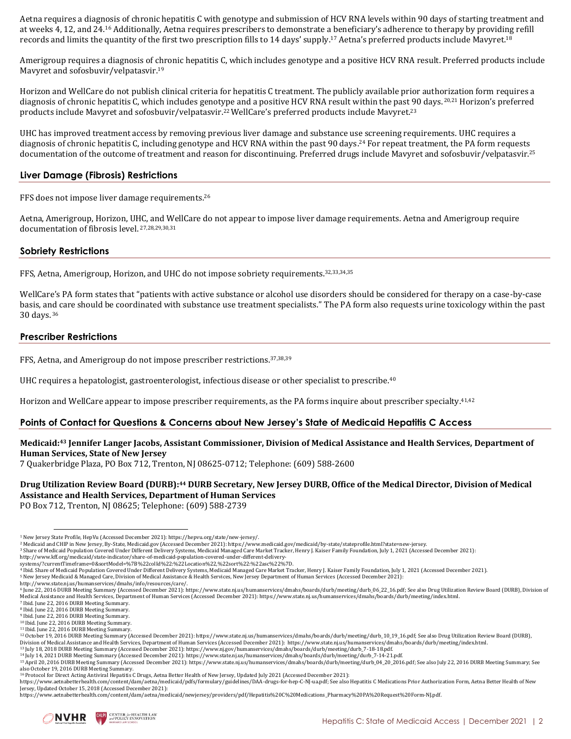Aetna requires a diagnosis of chronic hepatitis C with genotype and submission of HCV RNA levels within 90 days of starting treatment and at weeks 4, 12, and 24.<sup>16</sup> Additionally, Aetna requires prescribers to demonstrate a beneficiary's adherence to therapy by providing refill records and limits the quantity of the first two prescription fills to 14 days' supply.<sup>17</sup> Aetna's preferred products include Mavyret.<sup>18</sup>

Amerigroup requires a diagnosis of chronic hepatitis C, which includes genotype and a positive HCV RNA result. Preferred products include Mavyret and sofosbuvir/velpatasvir.<sup>19</sup>

Horizon and WellCare do not publish clinical criteria for hepatitis C treatment. The publicly available prior authorization form requires a diagnosis of chronic hepatitis C, which includes genotype and a positive HCV RNA result within the past 90 days.<sup>20,21</sup> Horizon's preferred products include Mavyret and sofosbuvir/velpatasvir.<sup>22</sup>WellCare's preferred products include Mavyret.<sup>23</sup>

UHC has improved treatment access by removing previous liver damage and substance use screening requirements. UHC requires a diagnosis of chronic hepatitis C, including genotype and HCV RNA within the past 90 days. <sup>24</sup> For repeat treatment, the PA form requests documentation of the outcome of treatment and reason for discontinuing. Preferred drugs include Mavyret and sofosbuvir/velpatasvir.<sup>25</sup>

#### **Liver Damage (Fibrosis) Restrictions**

FFS does not impose liver damage requirements. 26

Aetna, Amerigroup, Horizon, UHC, and WellCare do not appear to impose liver damage requirements. Aetna and Amerigroup require documentation of fibrosis level. 27,28,29,30,31

#### **Sobriety Restrictions**

FFS, Aetna, Amerigroup, Horizon, and UHC do not impose sobriety requirements.32,33,34,35

WellCare's PA form states that "patients with active substance or alcohol use disorders should be considered for therapy on a case-by-case basis, and care should be coordinated with substance use treatment specialists." The PA form also requests urine toxicology within the past 30 days. <sup>36</sup>

#### **Prescriber Restrictions**

FFS, Aetna, and Amerigroup do not impose prescriber restrictions. 37,38,39

UHC requires a hepatologist, gastroenterologist, infectious disease or other specialist to prescribe.<sup>40</sup>

Horizon and WellCare appear to impose prescriber requirements, as the PA forms inquire about prescriber specialty.<sup>41,42</sup>

#### **Points of Contact for Questions & Concerns about New Jersey's State of Medicaid Hepatitis C Access**

#### **Medicaid: <sup>43</sup> Jennifer Langer Jacobs, Assistant Commissioner, Division of Medical Assistance and Health Services, Department of Human Services, State of New Jersey**

7 Quakerbridge Plaza, PO Box 712, Trenton, NJ 08625‐0712; Telephone: (609) 588-2600

### Drug Utilization Review Board (DURB):<sup>44</sup> DURB Secretary, New Jersey DURB, Office of the Medical Director, Division of Medical **Assistance and Health Services, Department of Human Services**

PO Box 712, Trenton, NJ 08625; Telephone: (609) 588-2739

**CHLPI** CENTER for HEALTH LAW and POLICY INNOVATION

<sup>1</sup> New Jersey State Profile, HepVu (Accessed December 2021)[: https://hepvu.org/state/new-jersey/.](https://hepvu.org/state/new-jersey/)

<sup>2</sup> Medicaid and CHIP in New Jersey, By-State, Medicaid.gov (Accessed December 2021)[: https://www.medicaid.gov/medicaid/by-state/stateprofile.html?state=new-jersey.](https://www.medicaid.gov/medicaid/by-state/stateprofile.html?state=new-jersey)

<sup>3</sup> Share of Medicaid Population Covered Under Different Delivery Systems, Medicaid Managed Care Market Tracker, Henry J. Kaiser Family Foundation, July 1, 2021 (Accessed December 2021): [http://www.kff.org/medicaid/state-indicator/share-of-medicaid-population-covered-under-different-delivery-](http://www.kff.org/medicaid/state-indicator/share-of-medicaid-population-covered-under-different-delivery-systems/?currentTimeframe=0&sortModel=%7B%22colId%22:%22Location%22,%22sort%22:%22asc%22%7D)

[systems/?currentTimeframe=0&sortModel=%7B%22colId%22:%22Location%22,%22sort%22:%22asc%22%7D.](http://www.kff.org/medicaid/state-indicator/share-of-medicaid-population-covered-under-different-delivery-systems/?currentTimeframe=0&sortModel=%7B%22colId%22:%22Location%22,%22sort%22:%22asc%22%7D)

<sup>4</sup> Ibid. Share of Medicaid Population Covered Under Different Delivery Systems, Medicaid Managed Care Market Tracker, Henry J. Kaiser Family Foundation, July 1, 2021 (Accessed December 2021).

<sup>5</sup> New Jersey Medicaid & Managed Care, Division of Medical Assistance & Health Services, New Jersey Department of Human Services (Accessed December 2021):

[http://www.state.nj.us/humanservices/dmahs/info/resources/care/.](http://www.state.nj.us/humanservices/dmahs/info/resources/care/)

<sup>6</sup> June 22, 2016 DURB Meeting Summary (Accessed December 2021): https://www.state.nj.us/humanservices/dmahs/boards/durb/meeting/durb\_06\_22\_16.pdf; See also Drug Utilization Review Board (DURB), Division of Medical Assistance and Health Services, Department of Human Services (Accessed December 2021): https://www.state.nj.us/humanservices/dmahs/boards/durb/meeting/index.html.

<sup>7</sup> Ibid. June 22, 2016 DURB Meeting Summary. <sup>8</sup> Ibid. June 22, 2016 DURB Meeting Summary.

<sup>9</sup> Ibid. June 22, 2016 DURB Meeting Summary.

<sup>10</sup> Ibid. June 22, 2016 DURB Meeting Summary.

<sup>&</sup>lt;sup>11</sup> Ibid. June 22, 2016 DURB Meeting Summary

<sup>12</sup> October 19, 2016 DURB Meeting Summary (Accessed December 2021): https://www.state.nj.us/humanservices/dmahs/boards/durb/meeting/durb\_10\_19\_16.pdf; See also Drug Utilization Review Board (DURB), Division of Medical Assistance and Health Services, Department of Human Services (Accessed December 2021): https://www.state.nj.us/humanservices/dmahs/boards/durb/meeting/index.html. <sup>13</sup> July 18, 2018 DURB Meeting Summary (Accessed December 2021): https://www.nj.gov/humanservices/dmahs/boards/durb/meeting/durb\_7-18-18.pdf.

<sup>14</sup> July 14, 2021 DURB Meeting Summary (Accessed December 2021): https://www.state.nj.us/humanservices/dmahs/boards/durb/meeting/durb\_7-14-21.pdf.

<sup>15</sup> April 20, 2016 DURB Meeting Summary (Accessed December 2021): https://www.state.nj.us/humanservices/dmahs/boards/durb/meeting/durb\_04\_20\_2016.pdf; See also July 22, 2016 DURB Meeting Summary; See also October 19, 2016 DURB Meeting Summary.

<sup>&</sup>lt;sup>16</sup> Protocol for Direct Acting Antiviral Hepatitis C Drugs, Aetna Better Health of New Jersey, Updated July 2021 (Accessed December 2021):

https://www.aetnabetterhealth.com/content/dam/aetna/medicaid/pdfs/formulary/guidelines/DAA-drugs-for-hep-C-NJ-ua.pdf; See also Hepatitis C Medications Prior Authorization Form, Aetna Better Health of New Jersey, Updated October 15, 2018 (Accessed December 2021):<br>https://www.aetnabetterhealth.com/content/dam/aetna/medicaid/newjersey/providers/pdf/Hepatitis%20C%20Medications\_Pharmacy%20PA%20Request%20Form-NJ.pdf.